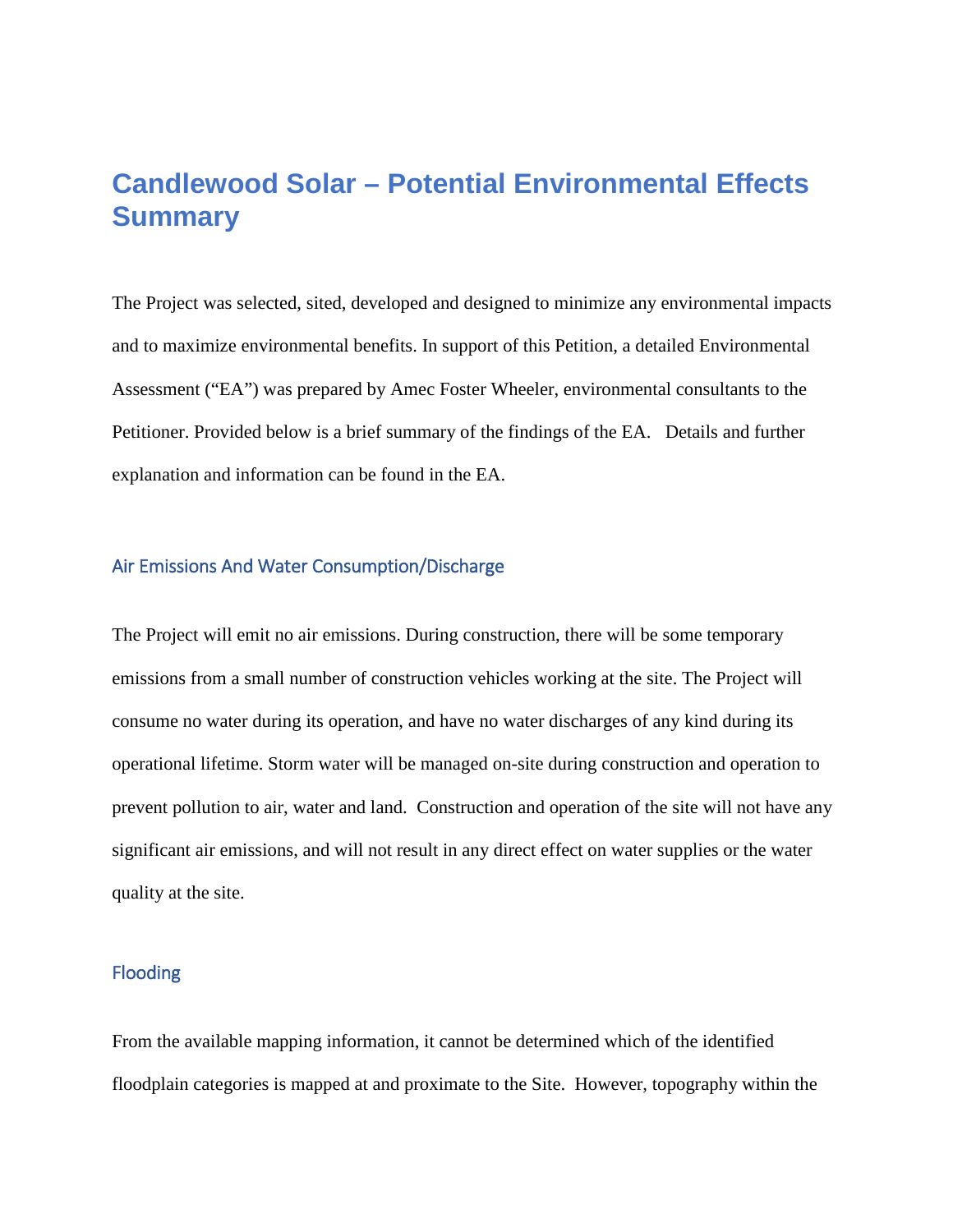# **Candlewood Solar – Potential Environmental Effects Summary**

The Project was selected, sited, developed and designed to minimize any environmental impacts and to maximize environmental benefits. In support of this Petition, a detailed Environmental Assessment ("EA") was prepared by Amec Foster Wheeler, environmental consultants to the Petitioner. Provided below is a brief summary of the findings of the EA. Details and further explanation and information can be found in the EA.

## Air Emissions And Water Consumption/Discharge

The Project will emit no air emissions. During construction, there will be some temporary emissions from a small number of construction vehicles working at the site. The Project will consume no water during its operation, and have no water discharges of any kind during its operational lifetime. Storm water will be managed on-site during construction and operation to prevent pollution to air, water and land. Construction and operation of the site will not have any significant air emissions, and will not result in any direct effect on water supplies or the water quality at the site.

## Flooding

From the available mapping information, it cannot be determined which of the identified floodplain categories is mapped at and proximate to the Site. However, topography within the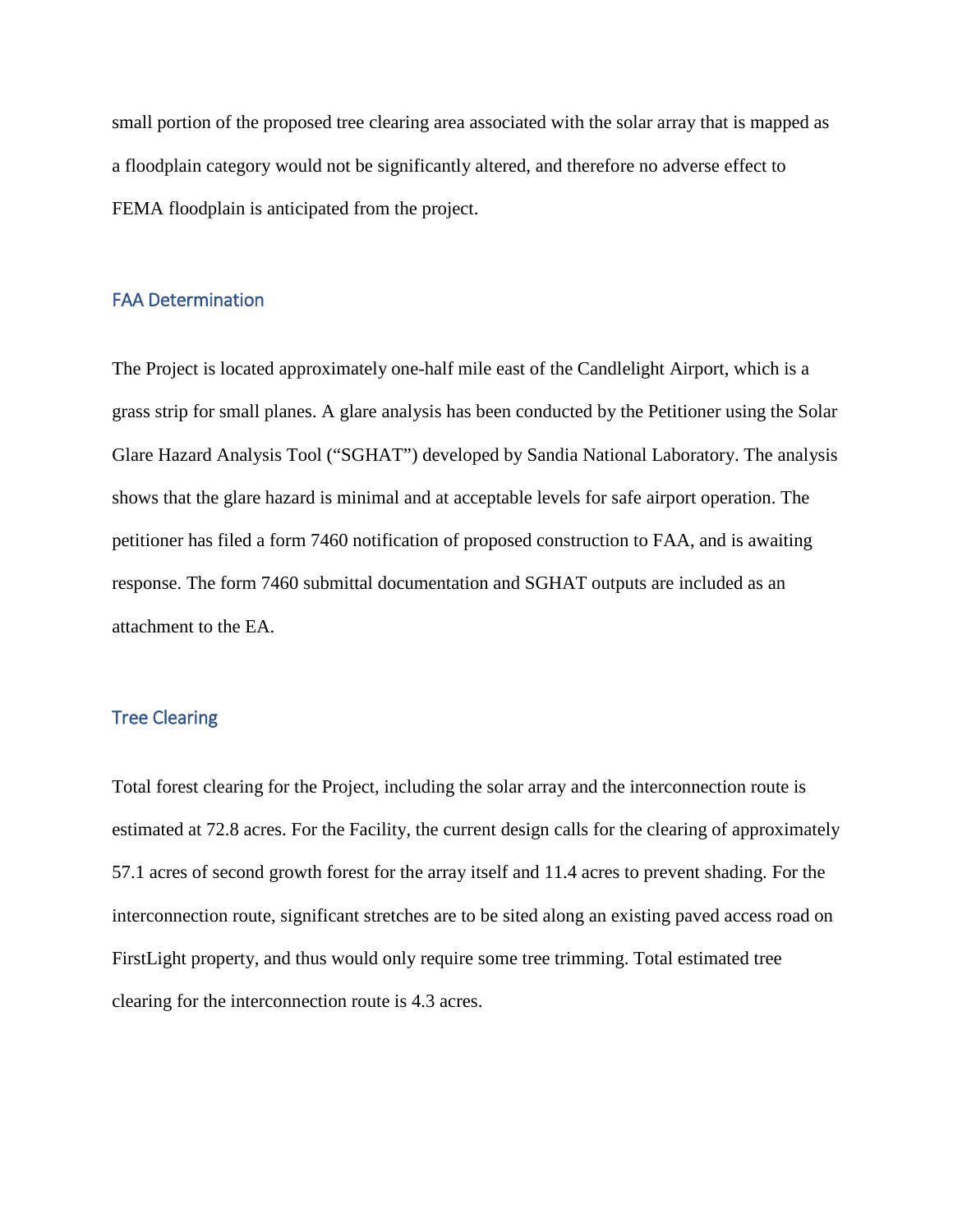small portion of the proposed tree clearing area associated with the solar array that is mapped as a floodplain category would not be significantly altered, and therefore no adverse effect to FEMA floodplain is anticipated from the project.

#### FAA Determination

The Project is located approximately one-half mile east of the Candlelight Airport, which is a grass strip for small planes. A glare analysis has been conducted by the Petitioner using the Solar Glare Hazard Analysis Tool ("SGHAT") developed by Sandia National Laboratory. The analysis shows that the glare hazard is minimal and at acceptable levels for safe airport operation. The petitioner has filed a form 7460 notification of proposed construction to FAA, and is awaiting response. The form 7460 submittal documentation and SGHAT outputs are included as an attachment to the EA.

## Tree Clearing

Total forest clearing for the Project, including the solar array and the interconnection route is estimated at 72.8 acres. For the Facility, the current design calls for the clearing of approximately 57.1 acres of second growth forest for the array itself and 11.4 acres to prevent shading. For the interconnection route, significant stretches are to be sited along an existing paved access road on FirstLight property, and thus would only require some tree trimming. Total estimated tree clearing for the interconnection route is 4.3 acres.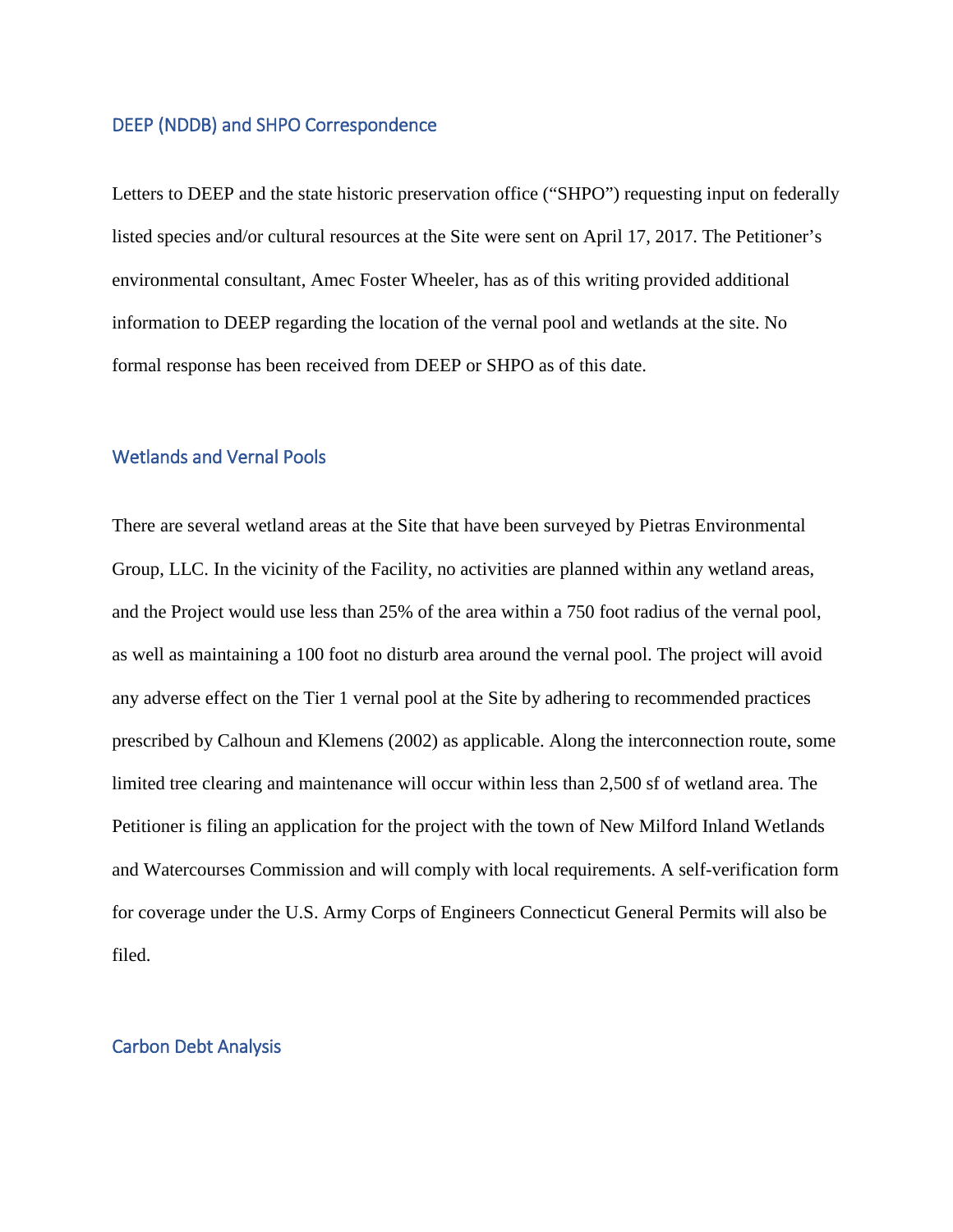## DEEP (NDDB) and SHPO Correspondence

Letters to DEEP and the state historic preservation office ("SHPO") requesting input on federally listed species and/or cultural resources at the Site were sent on April 17, 2017. The Petitioner's environmental consultant, Amec Foster Wheeler, has as of this writing provided additional information to DEEP regarding the location of the vernal pool and wetlands at the site. No formal response has been received from DEEP or SHPO as of this date.

## Wetlands and Vernal Pools

There are several wetland areas at the Site that have been surveyed by Pietras Environmental Group, LLC. In the vicinity of the Facility, no activities are planned within any wetland areas, and the Project would use less than 25% of the area within a 750 foot radius of the vernal pool, as well as maintaining a 100 foot no disturb area around the vernal pool. The project will avoid any adverse effect on the Tier 1 vernal pool at the Site by adhering to recommended practices prescribed by Calhoun and Klemens (2002) as applicable. Along the interconnection route, some limited tree clearing and maintenance will occur within less than 2,500 sf of wetland area. The Petitioner is filing an application for the project with the town of New Milford Inland Wetlands and Watercourses Commission and will comply with local requirements. A self-verification form for coverage under the U.S. Army Corps of Engineers Connecticut General Permits will also be filed.

#### Carbon Debt Analysis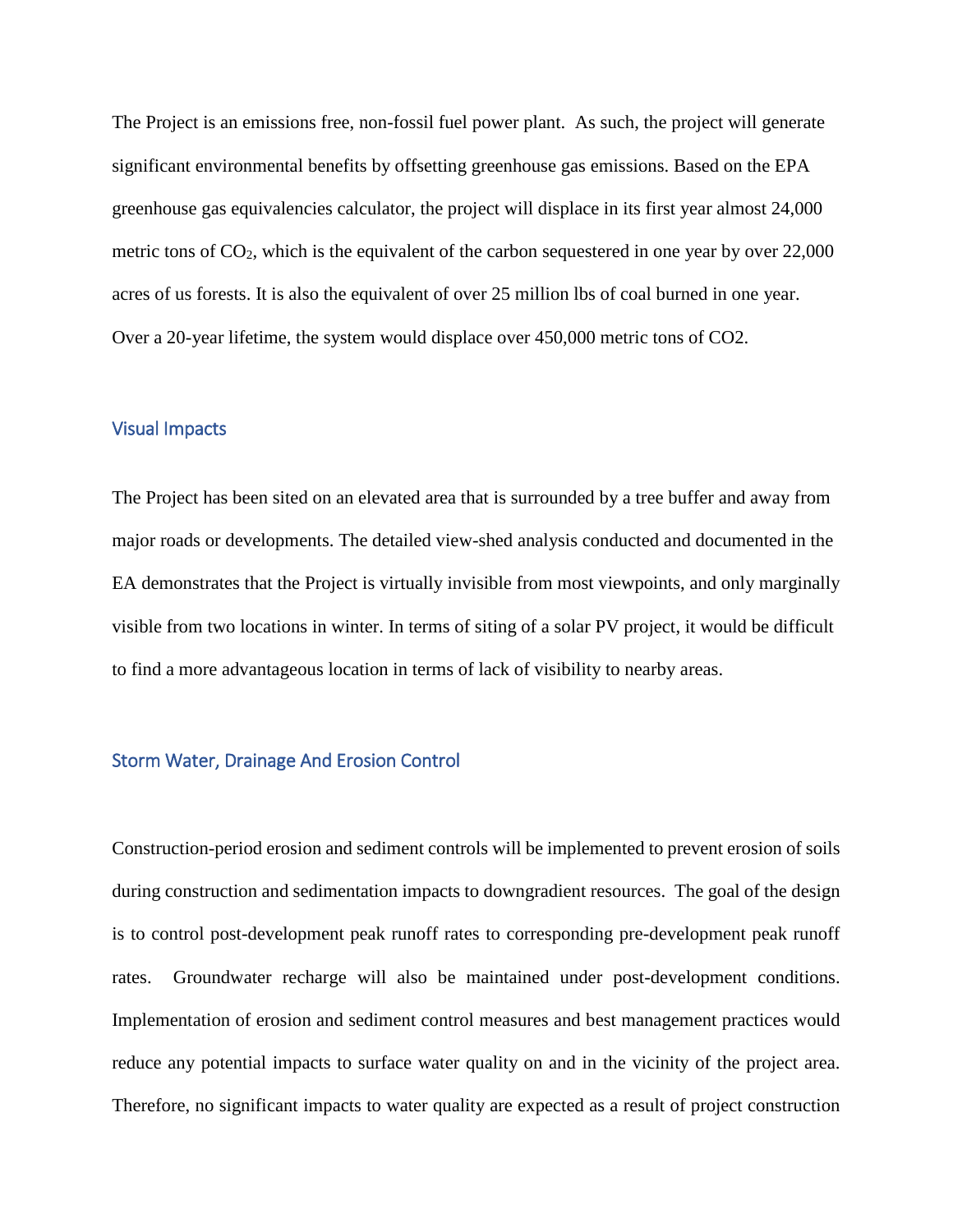The Project is an emissions free, non-fossil fuel power plant. As such, the project will generate significant environmental benefits by offsetting greenhouse gas emissions. Based on the EPA greenhouse gas equivalencies calculator, the project will displace in its first year almost 24,000 metric tons of  $CO<sub>2</sub>$ , which is the equivalent of the carbon sequestered in one year by over 22,000 acres of us forests. It is also the equivalent of over 25 million lbs of coal burned in one year. Over a 20-year lifetime, the system would displace over 450,000 metric tons of CO2.

## Visual Impacts

The Project has been sited on an elevated area that is surrounded by a tree buffer and away from major roads or developments. The detailed view-shed analysis conducted and documented in the EA demonstrates that the Project is virtually invisible from most viewpoints, and only marginally visible from two locations in winter. In terms of siting of a solar PV project, it would be difficult to find a more advantageous location in terms of lack of visibility to nearby areas.

## Storm Water, Drainage And Erosion Control

Construction-period erosion and sediment controls will be implemented to prevent erosion of soils during construction and sedimentation impacts to downgradient resources. The goal of the design is to control post-development peak runoff rates to corresponding pre-development peak runoff rates. Groundwater recharge will also be maintained under post-development conditions. Implementation of erosion and sediment control measures and best management practices would reduce any potential impacts to surface water quality on and in the vicinity of the project area. Therefore, no significant impacts to water quality are expected as a result of project construction